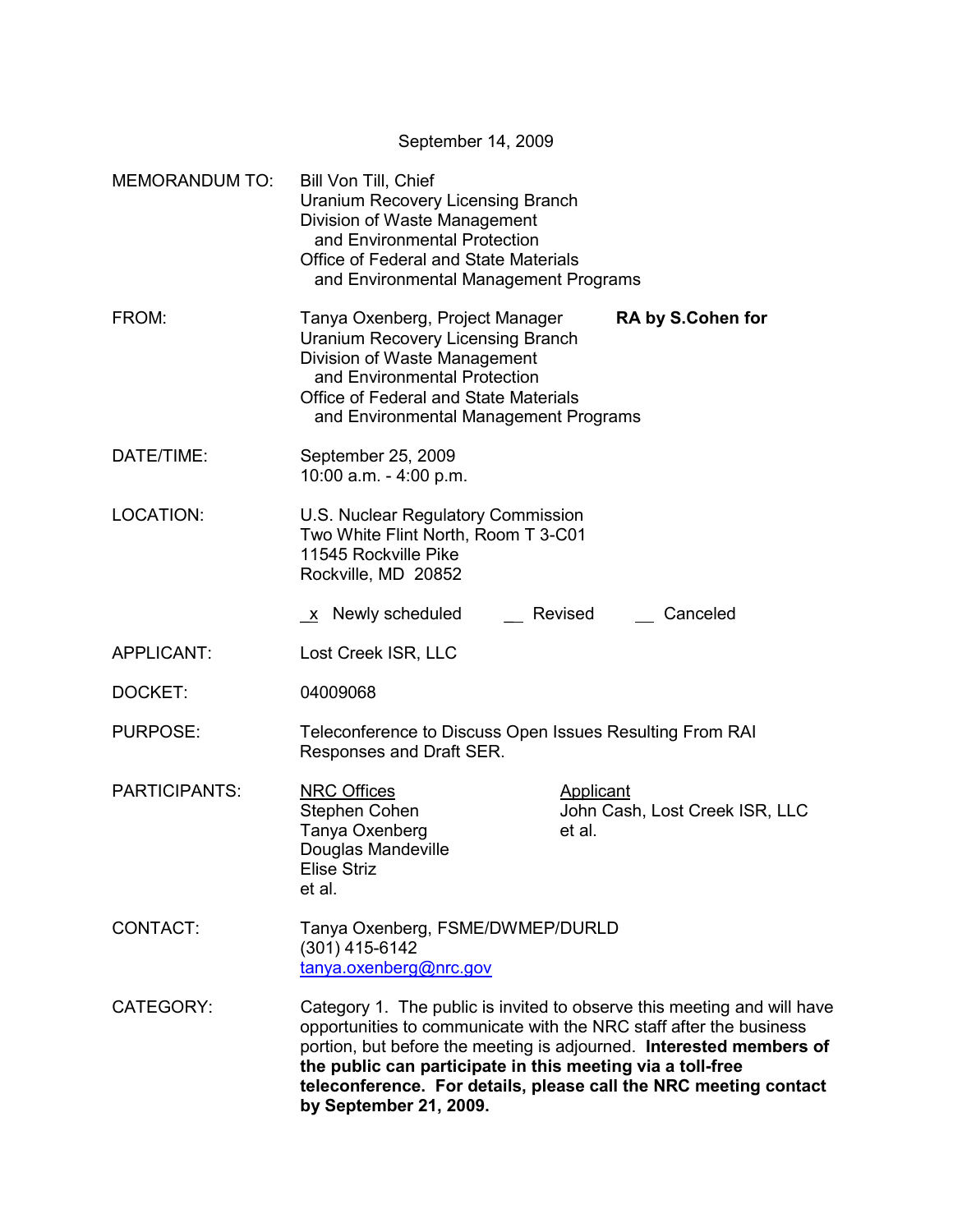September 14, 2009

| <b>MEMORANDUM TO:</b> | Bill Von Till, Chief<br>Uranium Recovery Licensing Branch<br>Division of Waste Management<br>and Environmental Protection<br><b>Office of Federal and State Materials</b><br>and Environmental Management Programs            |                                                                                                                                                                                                                                                                                          |  |
|-----------------------|-------------------------------------------------------------------------------------------------------------------------------------------------------------------------------------------------------------------------------|------------------------------------------------------------------------------------------------------------------------------------------------------------------------------------------------------------------------------------------------------------------------------------------|--|
| FROM:                 | Tanya Oxenberg, Project Manager<br><b>Uranium Recovery Licensing Branch</b><br>Division of Waste Management<br>and Environmental Protection<br>Office of Federal and State Materials<br>and Environmental Management Programs | <b>RA by S.Cohen for</b>                                                                                                                                                                                                                                                                 |  |
| DATE/TIME:            | September 25, 2009<br>10:00 a.m. - 4:00 p.m.                                                                                                                                                                                  |                                                                                                                                                                                                                                                                                          |  |
| <b>LOCATION:</b>      | U.S. Nuclear Regulatory Commission<br>Two White Flint North, Room T 3-C01<br>11545 Rockville Pike<br>Rockville, MD 20852                                                                                                      |                                                                                                                                                                                                                                                                                          |  |
|                       | <u>x</u> Newly scheduled                                                                                                                                                                                                      | Canceled<br>Revised                                                                                                                                                                                                                                                                      |  |
| APPLICANT:            | Lost Creek ISR, LLC                                                                                                                                                                                                           |                                                                                                                                                                                                                                                                                          |  |
| DOCKET:               | 04009068                                                                                                                                                                                                                      |                                                                                                                                                                                                                                                                                          |  |
| <b>PURPOSE:</b>       | Teleconference to Discuss Open Issues Resulting From RAI<br>Responses and Draft SER.                                                                                                                                          |                                                                                                                                                                                                                                                                                          |  |
| <b>PARTICIPANTS:</b>  | <b>NRC Offices</b><br>Stephen Cohen<br>Tanya Oxenberg<br>Douglas Mandeville<br><b>Elise Striz</b><br>et al.                                                                                                                   | <b>Applicant</b><br>John Cash, Lost Creek ISR, LLC<br>et al.                                                                                                                                                                                                                             |  |
| CONTACT:              | Tanya Oxenberg, FSME/DWMEP/DURLD<br>(301) 415-6142<br>tanya.oxenberg@nrc.gov                                                                                                                                                  |                                                                                                                                                                                                                                                                                          |  |
| <b>CATEGORY:</b>      | the public can participate in this meeting via a toll-free<br>by September 21, 2009.                                                                                                                                          | Category 1. The public is invited to observe this meeting and will have<br>opportunities to communicate with the NRC staff after the business<br>portion, but before the meeting is adjourned. Interested members of<br>teleconference. For details, please call the NRC meeting contact |  |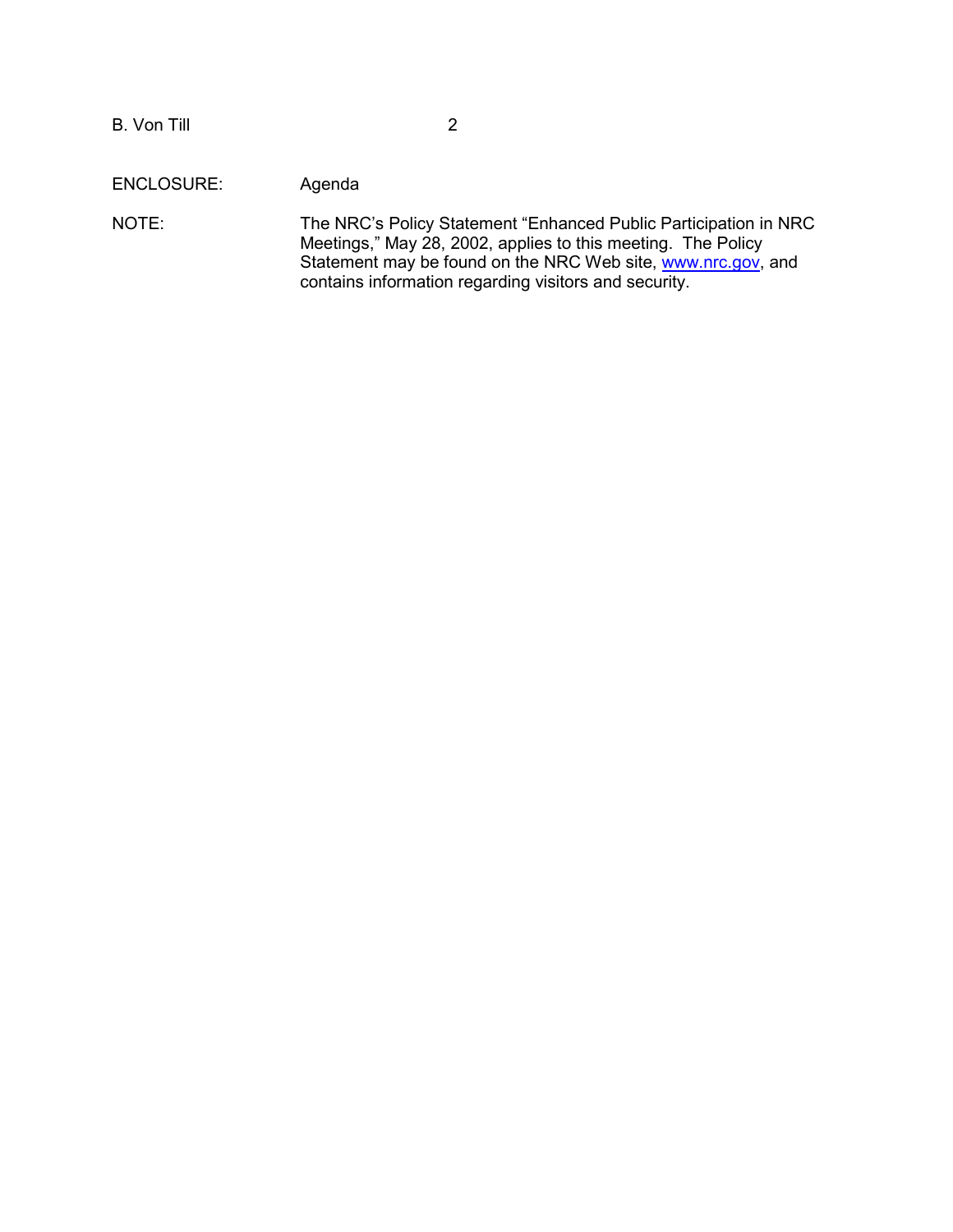ENCLOSURE: Agenda

NOTE: The NRC's Policy Statement "Enhanced Public Participation in NRC Meetings," May 28, 2002, applies to this meeting. The Policy Statement may be found on the NRC Web site, www.nrc.gov, and contains information regarding visitors and security.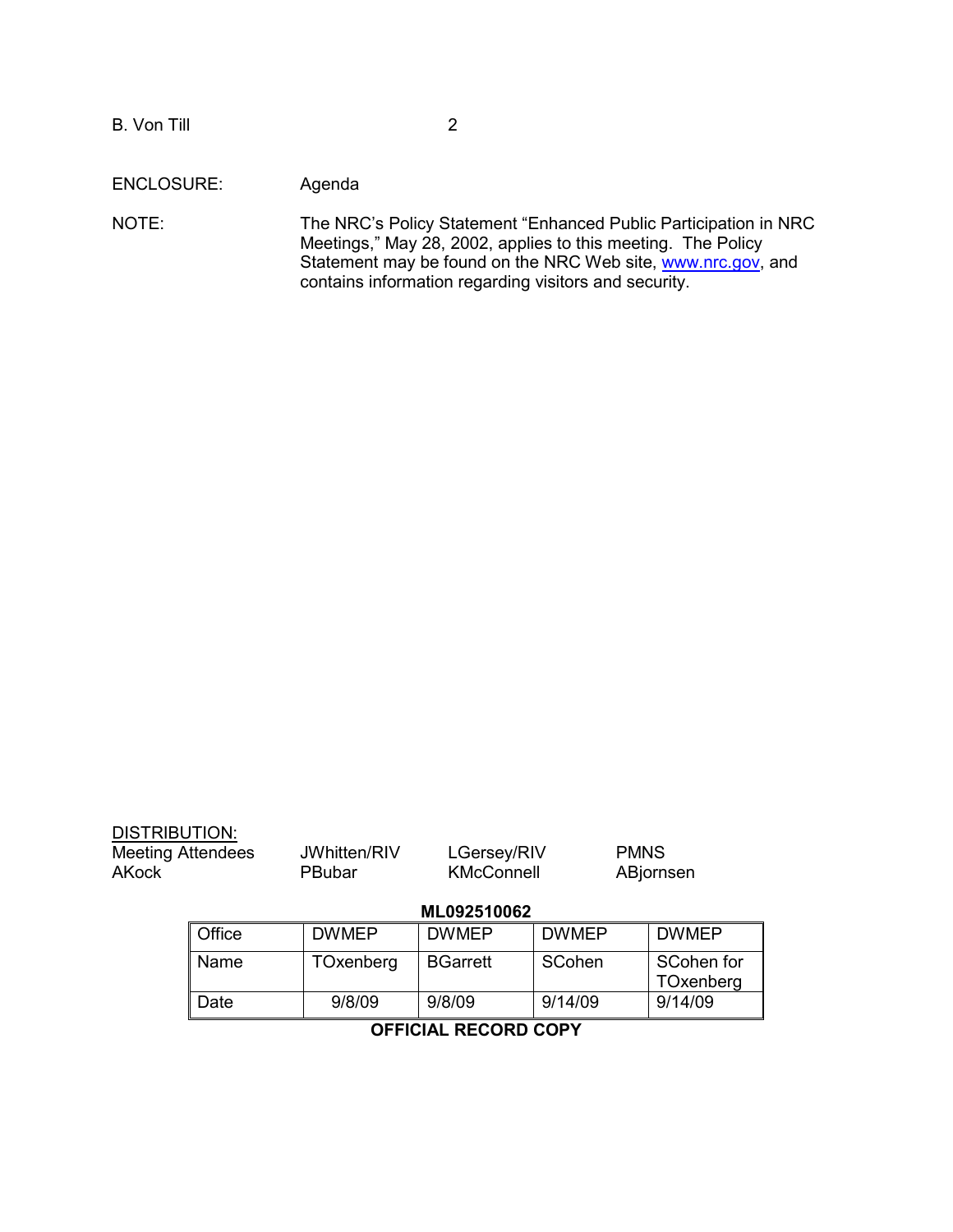ENCLOSURE: Agenda

NOTE: The NRC's Policy Statement "Enhanced Public Participation in NRC Meetings," May 28, 2002, applies to this meeting. The Policy Statement may be found on the NRC Web site, www.nrc.gov, and contains information regarding visitors and security.

| <b>DISTRIBUTION:</b><br><b>Meeting Attendees</b><br><b>AKock</b> |        | JWhitten/RIV<br>PBubar | LGersey/RIV<br><b>KMcConnell</b> |              | <b>PMNS</b><br>ABjornsen |
|------------------------------------------------------------------|--------|------------------------|----------------------------------|--------------|--------------------------|
|                                                                  |        |                        | ML092510062                      |              |                          |
|                                                                  | Office | <b>DWMEP</b>           | <b>DWMEP</b>                     | <b>DWMEP</b> | <b>DWMEP</b>             |
|                                                                  | Name   | TOxenberg              | <b>BGarrett</b>                  | SCohen       | SCohen for<br>TOxenberg  |
|                                                                  | Date   | 9/8/09                 | 9/8/09                           | 9/14/09      | 9/14/09                  |
| <b>OFFICIAL RECORD COPY</b>                                      |        |                        |                                  |              |                          |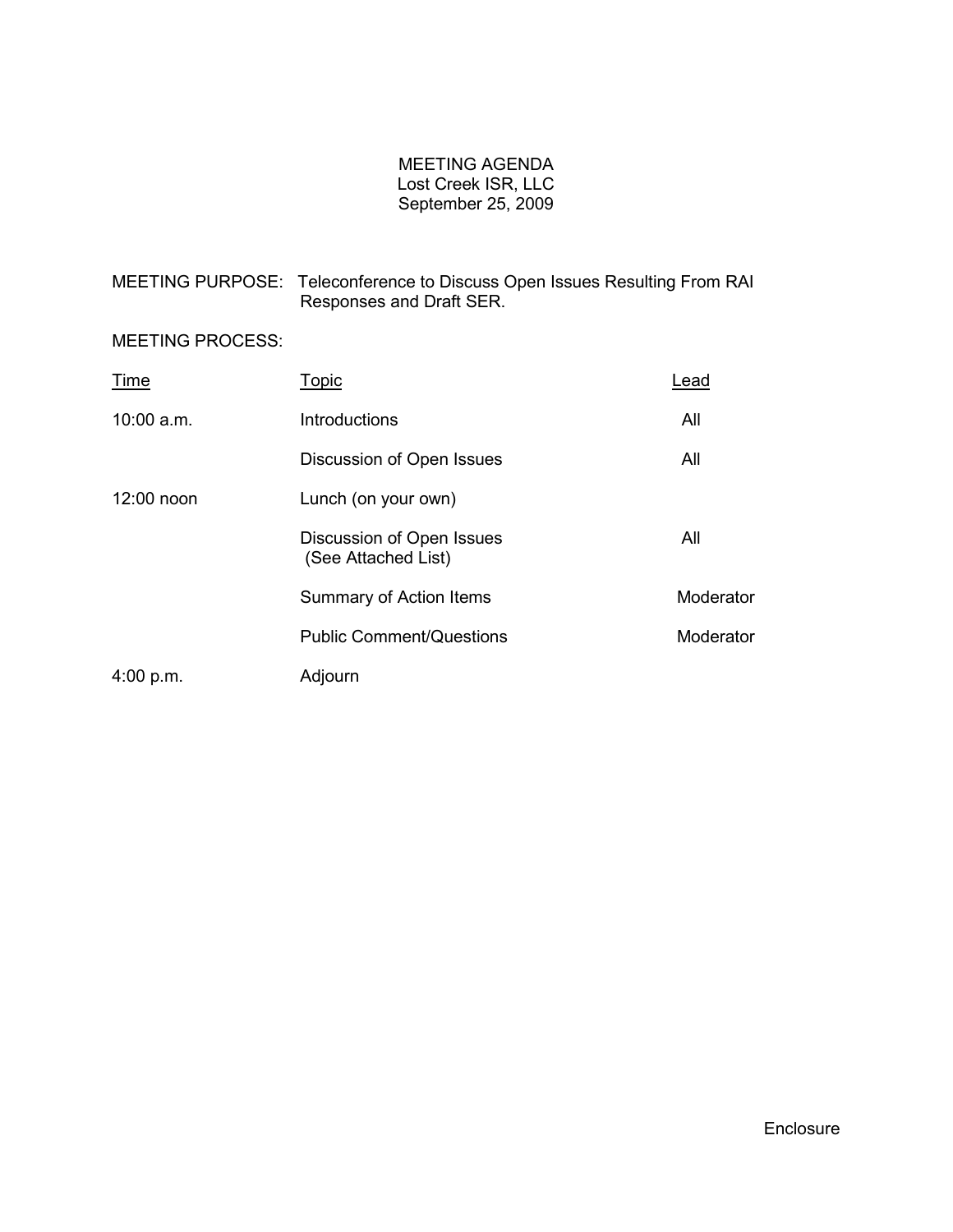## MEETING AGENDA Lost Creek ISR, LLC September 25, 2009

MEETING PURPOSE: Teleconference to Discuss Open Issues Resulting From RAI Responses and Draft SER.

## MEETING PROCESS:

| Time         | Topic                                            | Lead      |
|--------------|--------------------------------------------------|-----------|
| $10:00$ a.m. | Introductions                                    | All       |
|              | Discussion of Open Issues                        | All       |
| 12:00 noon   | Lunch (on your own)                              |           |
|              | Discussion of Open Issues<br>(See Attached List) | All       |
|              | Summary of Action Items                          | Moderator |
|              | <b>Public Comment/Questions</b>                  | Moderator |
| 4:00 p.m.    | Adjourn                                          |           |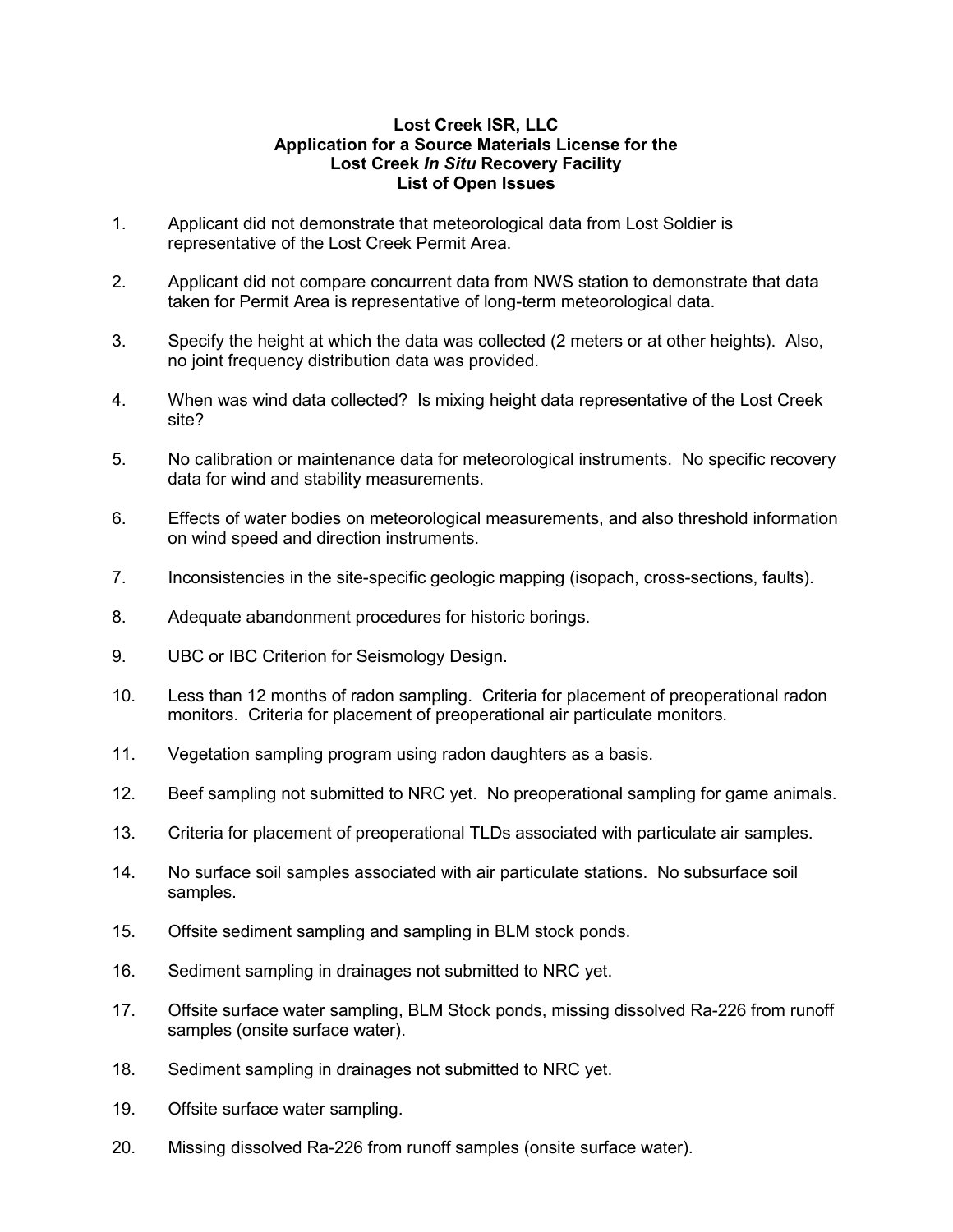## **Lost Creek ISR, LLC Application for a Source Materials License for the Lost Creek** *In Situ* **Recovery Facility List of Open Issues**

- 1. Applicant did not demonstrate that meteorological data from Lost Soldier is representative of the Lost Creek Permit Area.
- 2. Applicant did not compare concurrent data from NWS station to demonstrate that data taken for Permit Area is representative of long-term meteorological data.
- 3. Specify the height at which the data was collected (2 meters or at other heights). Also, no joint frequency distribution data was provided.
- 4. When was wind data collected? Is mixing height data representative of the Lost Creek site?
- 5. No calibration or maintenance data for meteorological instruments. No specific recovery data for wind and stability measurements.
- 6. Effects of water bodies on meteorological measurements, and also threshold information on wind speed and direction instruments.
- 7. Inconsistencies in the site-specific geologic mapping (isopach, cross-sections, faults).
- 8. Adequate abandonment procedures for historic borings.
- 9. UBC or IBC Criterion for Seismology Design.
- 10. Less than 12 months of radon sampling. Criteria for placement of preoperational radon monitors. Criteria for placement of preoperational air particulate monitors.
- 11. Vegetation sampling program using radon daughters as a basis.
- 12. Beef sampling not submitted to NRC yet. No preoperational sampling for game animals.
- 13. Criteria for placement of preoperational TLDs associated with particulate air samples.
- 14. No surface soil samples associated with air particulate stations. No subsurface soil samples.
- 15. Offsite sediment sampling and sampling in BLM stock ponds.
- 16. Sediment sampling in drainages not submitted to NRC yet.
- 17. Offsite surface water sampling, BLM Stock ponds, missing dissolved Ra-226 from runoff samples (onsite surface water).
- 18. Sediment sampling in drainages not submitted to NRC yet.
- 19. Offsite surface water sampling.
- 20. Missing dissolved Ra-226 from runoff samples (onsite surface water).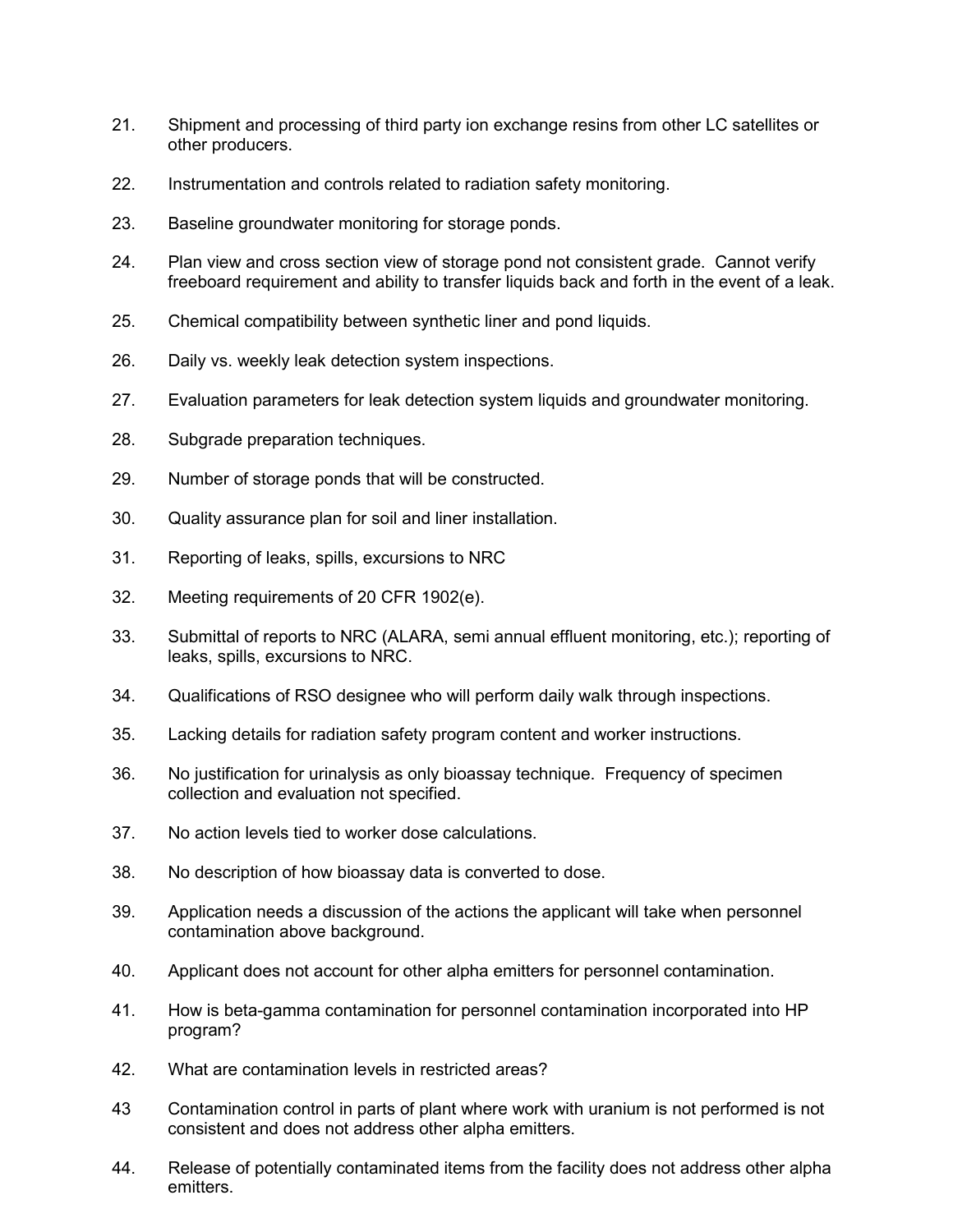- 21. Shipment and processing of third party ion exchange resins from other LC satellites or other producers.
- 22. Instrumentation and controls related to radiation safety monitoring.
- 23. Baseline groundwater monitoring for storage ponds.
- 24. Plan view and cross section view of storage pond not consistent grade. Cannot verify freeboard requirement and ability to transfer liquids back and forth in the event of a leak.
- 25. Chemical compatibility between synthetic liner and pond liquids.
- 26. Daily vs. weekly leak detection system inspections.
- 27. Evaluation parameters for leak detection system liquids and groundwater monitoring.
- 28. Subgrade preparation techniques.
- 29. Number of storage ponds that will be constructed.
- 30. Quality assurance plan for soil and liner installation.
- 31. Reporting of leaks, spills, excursions to NRC
- 32. Meeting requirements of 20 CFR 1902(e).
- 33. Submittal of reports to NRC (ALARA, semi annual effluent monitoring, etc.); reporting of leaks, spills, excursions to NRC.
- 34. Qualifications of RSO designee who will perform daily walk through inspections.
- 35. Lacking details for radiation safety program content and worker instructions.
- 36. No justification for urinalysis as only bioassay technique. Frequency of specimen collection and evaluation not specified.
- 37. No action levels tied to worker dose calculations.
- 38. No description of how bioassay data is converted to dose.
- 39. Application needs a discussion of the actions the applicant will take when personnel contamination above background.
- 40. Applicant does not account for other alpha emitters for personnel contamination.
- 41. How is beta-gamma contamination for personnel contamination incorporated into HP program?
- 42. What are contamination levels in restricted areas?
- 43 Contamination control in parts of plant where work with uranium is not performed is not consistent and does not address other alpha emitters.
- 44. Release of potentially contaminated items from the facility does not address other alpha emitters.